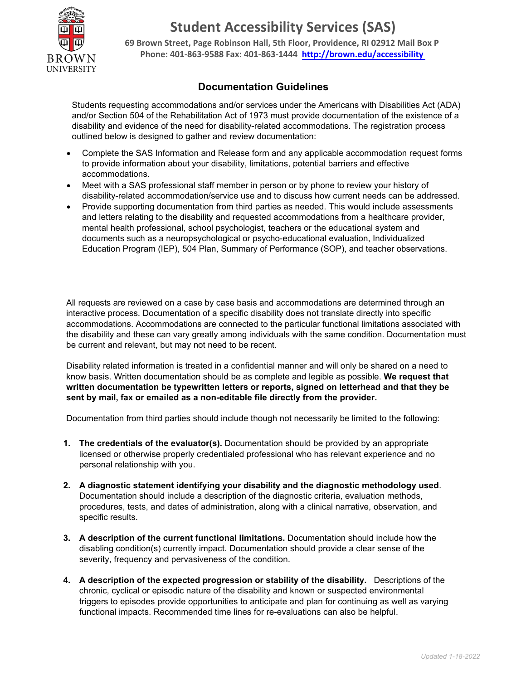

# **Student Accessibility Services (SAS)**

**69 Brown Street, Page Robinson Hall, 5th Floor, Providence, RI 02912 Mail Box P Phone: 401-863-9588 Fax: 401-863-1444 http://brown.edu/accessibility** 

## **Documentation Guidelines**

Students requesting accommodations and/or services under the Americans with Disabilities Act (ADA) and/or Section 504 of the Rehabilitation Act of 1973 must provide documentation of the existence of a disability and evidence of the need for disability-related accommodations. The registration process outlined below is designed to gather and review documentation:

- Complete the SAS Information and Release form and any applicable accommodation request forms to provide information about your disability, limitations, potential barriers and effective accommodations.
- Meet with a SAS professional staff member in person or by phone to review your history of disability-related accommodation/service use and to discuss how current needs can be addressed.
- Provide supporting documentation from third parties as needed. This would include assessments and letters relating to the disability and requested accommodations from a healthcare provider, mental health professional, school psychologist, teachers or the educational system and documents such as a neuropsychological or psycho-educational evaluation, Individualized Education Program (IEP), 504 Plan, Summary of Performance (SOP), and teacher observations.

All requests are reviewed on a case by case basis and accommodations are determined through an interactive process. Documentation of a specific disability does not translate directly into specific accommodations. Accommodations are connected to the particular functional limitations associated with the disability and these can vary greatly among individuals with the same condition. Documentation must be current and relevant, but may not need to be recent.

Disability related information is treated in a confidential manner and will only be shared on a need to know basis. Written documentation should be as complete and legible as possible. **We request that written documentation be typewritten letters or reports, signed on letterhead and that they be sent by mail, fax or emailed as a non-editable file directly from the provider.**

Documentation from third parties should include though not necessarily be limited to the following:

- **1. The credentials of the evaluator(s).** Documentation should be provided by an appropriate licensed or otherwise properly credentialed professional who has relevant experience and no personal relationship with you.
- **2. A diagnostic statement identifying your disability and the diagnostic methodology used**. Documentation should include a description of the diagnostic criteria, evaluation methods, procedures, tests, and dates of administration, along with a clinical narrative, observation, and specific results.
- **3. A description of the current functional limitations.** Documentation should include how the disabling condition(s) currently impact. Documentation should provide a clear sense of the severity, frequency and pervasiveness of the condition.
- **4. A description of the expected progression or stability of the disability.** Descriptions of the chronic, cyclical or episodic nature of the disability and known or suspected environmental triggers to episodes provide opportunities to anticipate and plan for continuing as well as varying functional impacts. Recommended time lines for re-evaluations can also be helpful.